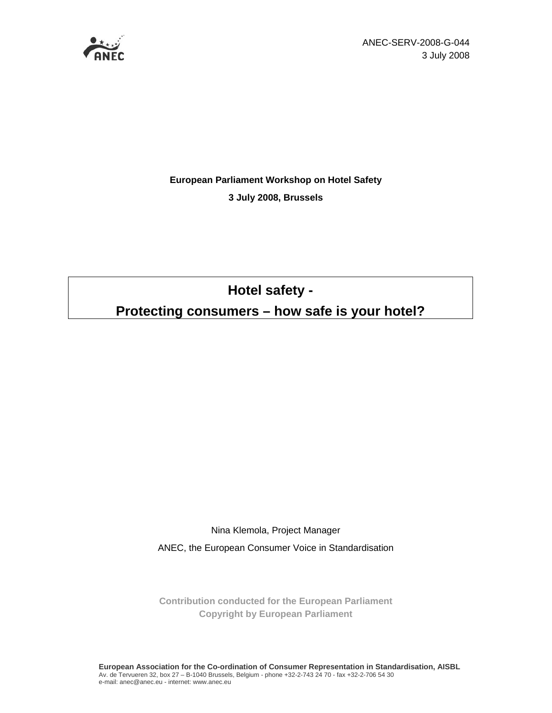

ANEC-SERV-2008-G-044 3 July 2008

**European Parliament Workshop on Hotel Safety 3 July 2008, Brussels** 

**Hotel safety -** 

**Protecting consumers – how safe is your hotel?** 

Nina Klemola, Project Manager ANEC, the European Consumer Voice in Standardisation

**Contribution conducted for the European Parliament Copyright by European Parliament**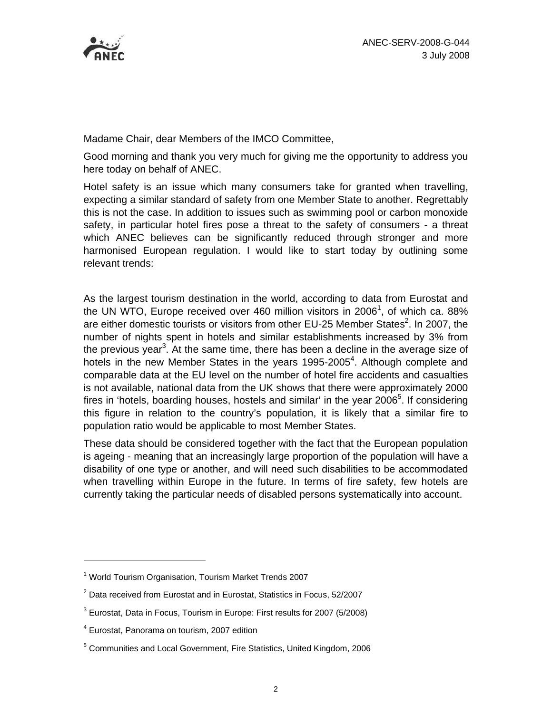

Madame Chair, dear Members of the IMCO Committee,

Good morning and thank you very much for giving me the opportunity to address you here today on behalf of ANEC.

Hotel safety is an issue which many consumers take for granted when travelling, expecting a similar standard of safety from one Member State to another. Regrettably this is not the case. In addition to issues such as swimming pool or carbon monoxide safety, in particular hotel fires pose a threat to the safety of consumers - a threat which ANEC believes can be significantly reduced through stronger and more harmonised European regulation. I would like to start today by outlining some relevant trends:

As the largest tourism destination in the world, according to data from Eurostat and the UN WTO, Europe received over 460 million visitors in 2006<sup>1</sup>, of which ca. 88% are either domestic tourists or visitors from other EU-25 Member States<sup>2</sup>. In 2007, the number of nights spent in hotels and similar establishments increased by 3% from the previous year<sup>3</sup>. At the same time, there has been a decline in the average size of hotels in the new Member States in the years 1995-2005<sup>4</sup>. Although complete and comparable data at the EU level on the number of hotel fire accidents and casualties is not available, national data from the UK shows that there were approximately 2000 fires in 'hotels, boarding houses, hostels and similar' in the year 2006<sup>5</sup>. If considering this figure in relation to the country's population, it is likely that a similar fire to population ratio would be applicable to most Member States.

These data should be considered together with the fact that the European population is ageing - meaning that an increasingly large proportion of the population will have a disability of one type or another, and will need such disabilities to be accommodated when travelling within Europe in the future. In terms of fire safety, few hotels are currently taking the particular needs of disabled persons systematically into account.

 $\overline{a}$ 

<sup>&</sup>lt;sup>1</sup> World Tourism Organisation, Tourism Market Trends 2007

 $2$  Data received from Eurostat and in Eurostat, Statistics in Focus, 52/2007

 $^3$  Eurostat, Data in Focus, Tourism in Europe: First results for 2007 (5/2008)

<sup>4</sup> Eurostat, Panorama on tourism, 2007 edition

<sup>&</sup>lt;sup>5</sup> Communities and Local Government, Fire Statistics, United Kingdom, 2006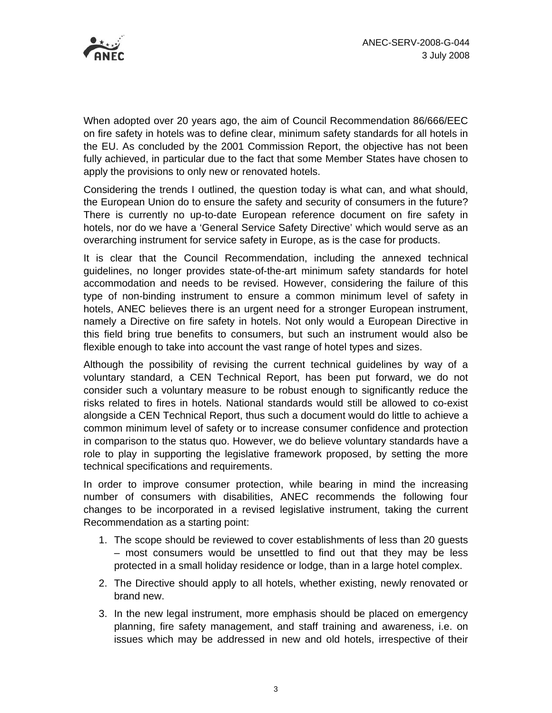

When adopted over 20 years ago, the aim of Council Recommendation 86/666/EEC on fire safety in hotels was to define clear, minimum safety standards for all hotels in the EU. As concluded by the 2001 Commission Report, the objective has not been fully achieved, in particular due to the fact that some Member States have chosen to apply the provisions to only new or renovated hotels.

Considering the trends I outlined, the question today is what can, and what should, the European Union do to ensure the safety and security of consumers in the future? There is currently no up-to-date European reference document on fire safety in hotels, nor do we have a 'General Service Safety Directive' which would serve as an overarching instrument for service safety in Europe, as is the case for products.

It is clear that the Council Recommendation, including the annexed technical guidelines, no longer provides state-of-the-art minimum safety standards for hotel accommodation and needs to be revised. However, considering the failure of this type of non-binding instrument to ensure a common minimum level of safety in hotels, ANEC believes there is an urgent need for a stronger European instrument, namely a Directive on fire safety in hotels. Not only would a European Directive in this field bring true benefits to consumers, but such an instrument would also be flexible enough to take into account the vast range of hotel types and sizes.

Although the possibility of revising the current technical guidelines by way of a voluntary standard, a CEN Technical Report, has been put forward, we do not consider such a voluntary measure to be robust enough to significantly reduce the risks related to fires in hotels. National standards would still be allowed to co-exist alongside a CEN Technical Report, thus such a document would do little to achieve a common minimum level of safety or to increase consumer confidence and protection in comparison to the status quo. However, we do believe voluntary standards have a role to play in supporting the legislative framework proposed, by setting the more technical specifications and requirements.

In order to improve consumer protection, while bearing in mind the increasing number of consumers with disabilities, ANEC recommends the following four changes to be incorporated in a revised legislative instrument, taking the current Recommendation as a starting point:

- 1. The scope should be reviewed to cover establishments of less than 20 guests – most consumers would be unsettled to find out that they may be less protected in a small holiday residence or lodge, than in a large hotel complex.
- 2. The Directive should apply to all hotels, whether existing, newly renovated or brand new.
- 3. In the new legal instrument, more emphasis should be placed on emergency planning, fire safety management, and staff training and awareness, i.e. on issues which may be addressed in new and old hotels, irrespective of their